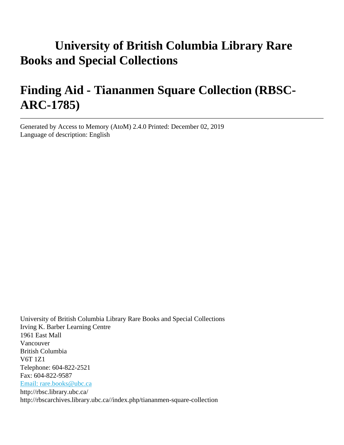# **University of British Columbia Library Rare Books and Special Collections**

# **Finding Aid - Tiananmen Square Collection (RBSC-ARC-1785)**

Generated by Access to Memory (AtoM) 2.4.0 Printed: December 02, 2019 Language of description: English

University of British Columbia Library Rare Books and Special Collections Irving K. Barber Learning Centre 1961 East Mall Vancouver British Columbia V6T 1Z1 Telephone: 604-822-2521 Fax: 604-822-9587 [Email: rare.books@ubc.ca](mailto:Email: rare.books@ubc.ca) http://rbsc.library.ubc.ca/ http://rbscarchives.library.ubc.ca//index.php/tiananmen-square-collection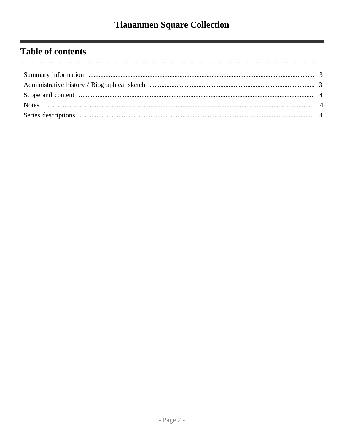## **Table of contents**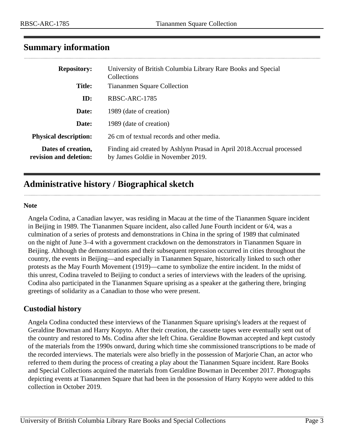<span id="page-2-0"></span>

| <b>Repository:</b>                           | University of British Columbia Library Rare Books and Special<br>Collections                                |  |  |
|----------------------------------------------|-------------------------------------------------------------------------------------------------------------|--|--|
| <b>Title:</b>                                | <b>Tiananmen Square Collection</b>                                                                          |  |  |
| ID:                                          | RBSC-ARC-1785                                                                                               |  |  |
| Date:                                        | 1989 (date of creation)                                                                                     |  |  |
| Date:                                        | 1989 (date of creation)                                                                                     |  |  |
| <b>Physical description:</b>                 | 26 cm of textual records and other media.                                                                   |  |  |
| Dates of creation,<br>revision and deletion: | Finding aid created by Ashlynn Prasad in April 2018. Accrual processed<br>by James Goldie in November 2019. |  |  |

## <span id="page-2-1"></span>**Administrative history / Biographical sketch**

#### **Note**

Angela Codina, a Canadian lawyer, was residing in Macau at the time of the Tiananmen Square incident in Beijing in 1989. The Tiananmen Square incident, also called June Fourth incident or 6/4, was a culmination of a series of protests and demonstrations in China in the spring of 1989 that culminated on the night of June 3–4 with a government crackdown on the demonstrators in Tiananmen Square in Beijing. Although the demonstrations and their subsequent repression occurred in cities throughout the country, the events in Beijing—and especially in Tiananmen Square, historically linked to such other protests as the May Fourth Movement (1919)—came to symbolize the entire incident. In the midst of this unrest, Codina traveled to Beijing to conduct a series of interviews with the leaders of the uprising. Codina also participated in the Tiananmen Square uprising as a speaker at the gathering there, bringing greetings of solidarity as a Canadian to those who were present.

### **Custodial history**

Angela Codina conducted these interviews of the Tiananmen Square uprising's leaders at the request of Geraldine Bowman and Harry Kopyto. After their creation, the cassette tapes were eventually sent out of the country and restored to Ms. Codina after she left China. Geraldine Bowman accepted and kept custody of the materials from the 1990s onward, during which time she commissioned transcriptions to be made of the recorded interviews. The materials were also briefly in the possession of Marjorie Chan, an actor who referred to them during the process of creating a play about the Tiananmen Square incident. Rare Books and Special Collections acquired the materials from Geraldine Bowman in December 2017. Photographs depicting events at Tiananmen Square that had been in the possession of Harry Kopyto were added to this collection in October 2019.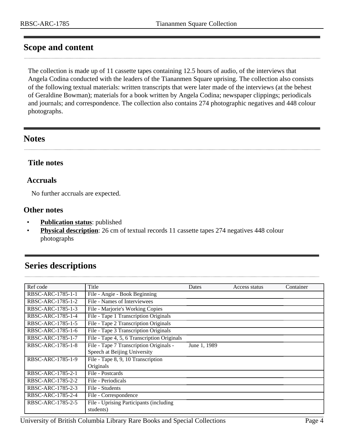## <span id="page-3-0"></span>**Scope and content**

The collection is made up of 11 cassette tapes containing 12.5 hours of audio, of the interviews that Angela Codina conducted with the leaders of the Tiananmen Square uprising. The collection also consists of the following textual materials: written transcripts that were later made of the interviews (at the behest of Geraldine Bowman); materials for a book written by Angela Codina; newspaper clippings; periodicals and journals; and correspondence. The collection also contains 274 photographic negatives and 448 colour photographs.

## <span id="page-3-1"></span>**Notes**

### **Title notes**

#### **Accruals**

No further accruals are expected.

#### **Other notes**

- **Publication status:** published
- **Physical description**: 26 cm of textual records 11 cassette tapes 274 negatives 448 colour photographs

## <span id="page-3-2"></span>**Series descriptions**

| Ref code          | Title                                       | Dates        | Access status | Container |
|-------------------|---------------------------------------------|--------------|---------------|-----------|
| RBSC-ARC-1785-1-1 | File - Angie - Book Beginning               |              |               |           |
| RBSC-ARC-1785-1-2 | File - Names of Interviewees                |              |               |           |
| RBSC-ARC-1785-1-3 | File - Marjorie's Working Copies            |              |               |           |
| RBSC-ARC-1785-1-4 | File - Tape 1 Transcription Originals       |              |               |           |
| RBSC-ARC-1785-1-5 | File - Tape 2 Transcription Originals       |              |               |           |
| RBSC-ARC-1785-1-6 | File - Tape 3 Transcription Originals       |              |               |           |
| RBSC-ARC-1785-1-7 | File - Tape 4, 5, 6 Transcription Originals |              |               |           |
| RBSC-ARC-1785-1-8 | File - Tape 7 Transcription Originals -     | June 1, 1989 |               |           |
|                   | Speech at Beijing University                |              |               |           |
| RBSC-ARC-1785-1-9 | File - Tape 8, 9, 10 Transcription          |              |               |           |
|                   | Originals                                   |              |               |           |
| RBSC-ARC-1785-2-1 | File - Postcards                            |              |               |           |
| RBSC-ARC-1785-2-2 | File - Periodicals                          |              |               |           |
| RBSC-ARC-1785-2-3 | File - Students                             |              |               |           |
| RBSC-ARC-1785-2-4 | File - Correspondence                       |              |               |           |
| RBSC-ARC-1785-2-5 | File - Uprising Participants (including     |              |               |           |
|                   | students)                                   |              |               |           |